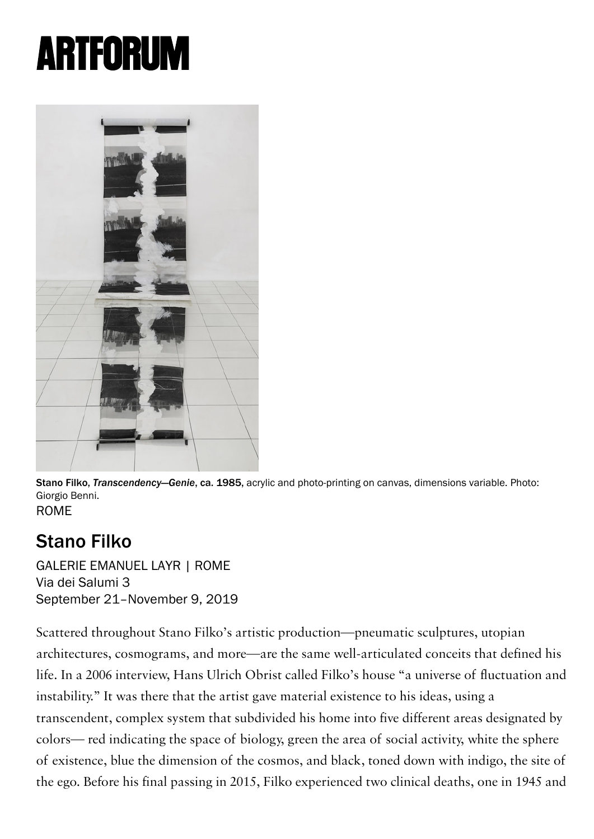## **ARTFORUM**



Stano Filko, Transcendency–Genie, ca. 1985, acrylic and photo-printing on canvas, dimensions variable. Photo: Giorgio Benni. ROME Rome

## Stano Filko **J**tal

GALERIE EMANUEL LAYR | ROME Via dei Salumi 3 September 21-November 9, 2019

Scattered throughout Stano Filko's artistic production—pneumatic sculptures, utopian architectures, cosmograms, and more—are the same well-articulated conceits that defined his life. In a 2006 interview, Hans Ulrich Obrist called Filko's house "a universe of fluctuation and instability." It was there that the artist gave material existence to his ideas, using a transcendent, complex system that subdivided his home into five different areas designated by colors— red indicating the space of biology, green the area of social activity, white the sphere of existence, blue the dimension of the cosmos, and black, toned down with indigo, the site of the ego. Before his final passing in 2015, Filko experienced two clinical deaths, one in 1945 and